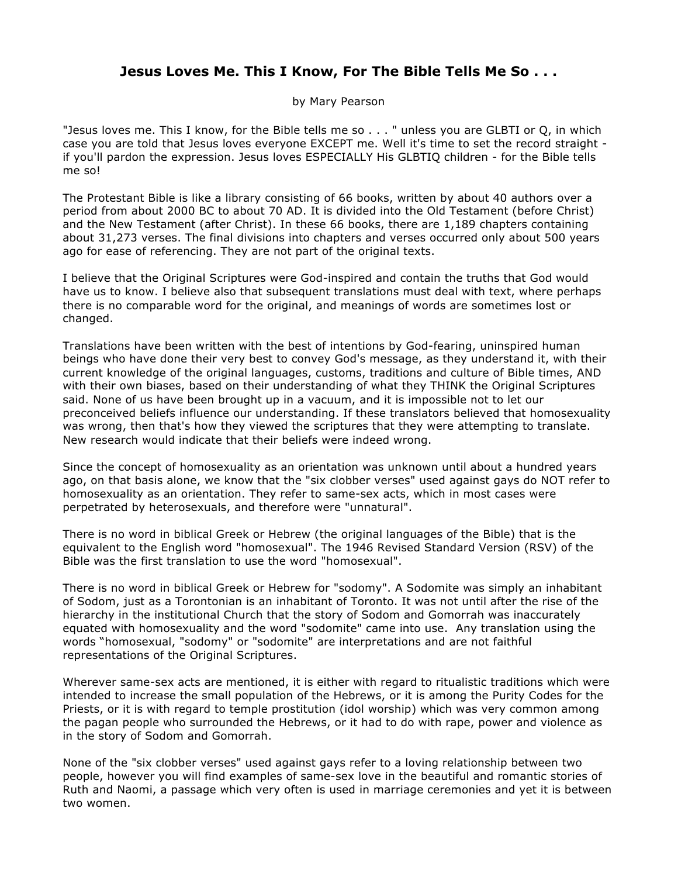## **Jesus Loves Me. This I Know, For The Bible Tells Me So . . .**

by Mary Pearson

"Jesus loves me. This I know, for the Bible tells me so . . . " unless you are GLBTI or Q, in which case you are told that Jesus loves everyone EXCEPT me. Well it's time to set the record straight if you'll pardon the expression. Jesus loves ESPECIALLY His GLBTIQ children - for the Bible tells me so!

The Protestant Bible is like a library consisting of 66 books, written by about 40 authors over a period from about 2000 BC to about 70 AD. It is divided into the Old Testament (before Christ) and the New Testament (after Christ). In these 66 books, there are 1,189 chapters containing about 31,273 verses. The final divisions into chapters and verses occurred only about 500 years ago for ease of referencing. They are not part of the original texts.

I believe that the Original Scriptures were God-inspired and contain the truths that God would have us to know. I believe also that subsequent translations must deal with text, where perhaps there is no comparable word for the original, and meanings of words are sometimes lost or changed.

Translations have been written with the best of intentions by God-fearing, uninspired human beings who have done their very best to convey God's message, as they understand it, with their current knowledge of the original languages, customs, traditions and culture of Bible times, AND with their own biases, based on their understanding of what they THINK the Original Scriptures said. None of us have been brought up in a vacuum, and it is impossible not to let our preconceived beliefs influence our understanding. If these translators believed that homosexuality was wrong, then that's how they viewed the scriptures that they were attempting to translate. New research would indicate that their beliefs were indeed wrong.

Since the concept of homosexuality as an orientation was unknown until about a hundred years ago, on that basis alone, we know that the "six clobber verses" used against gays do NOT refer to homosexuality as an orientation. They refer to same-sex acts, which in most cases were perpetrated by heterosexuals, and therefore were "unnatural".

There is no word in biblical Greek or Hebrew (the original languages of the Bible) that is the equivalent to the English word "homosexual". The 1946 Revised Standard Version (RSV) of the Bible was the first translation to use the word "homosexual".

There is no word in biblical Greek or Hebrew for "sodomy". A Sodomite was simply an inhabitant of Sodom, just as a Torontonian is an inhabitant of Toronto. It was not until after the rise of the hierarchy in the institutional Church that the story of Sodom and Gomorrah was inaccurately equated with homosexuality and the word "sodomite" came into use. Any translation using the words "homosexual, "sodomy" or "sodomite" are interpretations and are not faithful representations of the Original Scriptures.

Wherever same-sex acts are mentioned, it is either with regard to ritualistic traditions which were intended to increase the small population of the Hebrews, or it is among the Purity Codes for the Priests, or it is with regard to temple prostitution (idol worship) which was very common among the pagan people who surrounded the Hebrews, or it had to do with rape, power and violence as in the story of Sodom and Gomorrah.

None of the "six clobber verses" used against gays refer to a loving relationship between two people, however you will find examples of same-sex love in the beautiful and romantic stories of Ruth and Naomi, a passage which very often is used in marriage ceremonies and yet it is between two women.